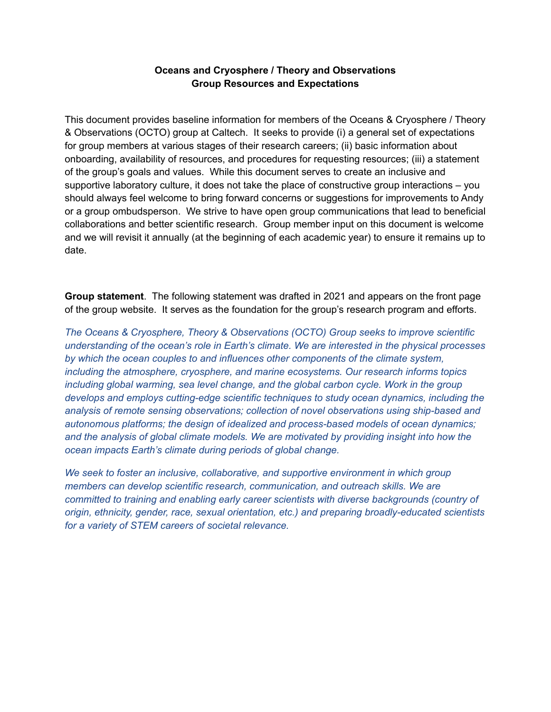# **Oceans and Cryosphere / Theory and Observations Group Resources and Expectations**

This document provides baseline information for members of the Oceans & Cryosphere / Theory & Observations (OCTO) group at Caltech. It seeks to provide (i) a general set of expectations for group members at various stages of their research careers; (ii) basic information about onboarding, availability of resources, and procedures for requesting resources; (iii) a statement of the group's goals and values. While this document serves to create an inclusive and supportive laboratory culture, it does not take the place of constructive group interactions – you should always feel welcome to bring forward concerns or suggestions for improvements to Andy or a group ombudsperson. We strive to have open group communications that lead to beneficial collaborations and better scientific research. Group member input on this document is welcome and we will revisit it annually (at the beginning of each academic year) to ensure it remains up to date.

**Group statement**. The following statement was drafted in 2021 and appears on the front page of the group website. It serves as the foundation for the group's research program and efforts.

*The Oceans & Cryosphere, Theory & Observations (OCTO) Group seeks to improve scientific understanding of the ocean's role in Earth's climate. We are interested in the physical processes by which the ocean couples to and influences other components of the climate system, including the atmosphere, cryosphere, and marine ecosystems. Our research informs topics including global warming, sea level change, and the global carbon cycle. Work in the group develops and employs cutting-edge scientific techniques to study ocean dynamics, including the analysis of remote sensing observations; collection of novel observations using ship-based and autonomous platforms; the design of idealized and process-based models of ocean dynamics; and the analysis of global climate models. We are motivated by providing insight into how the ocean impacts Earth's climate during periods of global change.*

*We seek to foster an inclusive, collaborative, and supportive environment in which group members can develop scientific research, communication, and outreach skills. We are committed to training and enabling early career scientists with diverse backgrounds (country of origin, ethnicity, gender, race, sexual orientation, etc.) and preparing broadly-educated scientists for a variety of STEM careers of societal relevance.*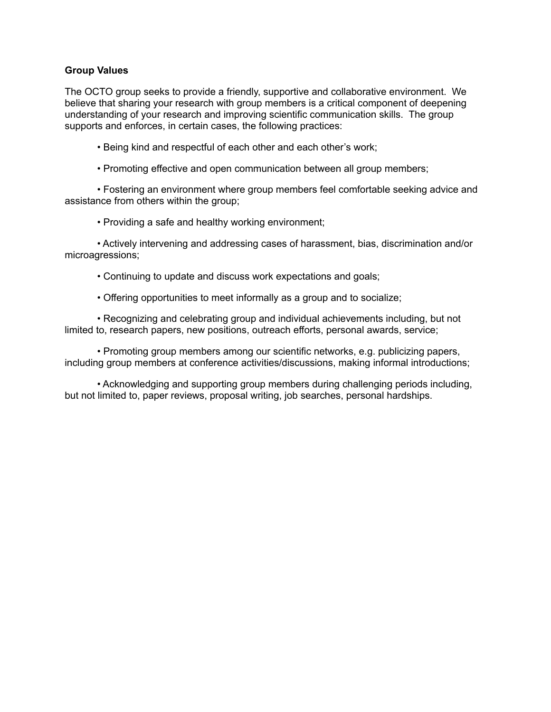### **Group Values**

The OCTO group seeks to provide a friendly, supportive and collaborative environment. We believe that sharing your research with group members is a critical component of deepening understanding of your research and improving scientific communication skills. The group supports and enforces, in certain cases, the following practices:

• Being kind and respectful of each other and each other's work;

• Promoting effective and open communication between all group members;

• Fostering an environment where group members feel comfortable seeking advice and assistance from others within the group;

• Providing a safe and healthy working environment;

• Actively intervening and addressing cases of harassment, bias, discrimination and/or microagressions;

• Continuing to update and discuss work expectations and goals;

• Offering opportunities to meet informally as a group and to socialize;

• Recognizing and celebrating group and individual achievements including, but not limited to, research papers, new positions, outreach efforts, personal awards, service;

• Promoting group members among our scientific networks, e.g. publicizing papers, including group members at conference activities/discussions, making informal introductions;

• Acknowledging and supporting group members during challenging periods including, but not limited to, paper reviews, proposal writing, job searches, personal hardships.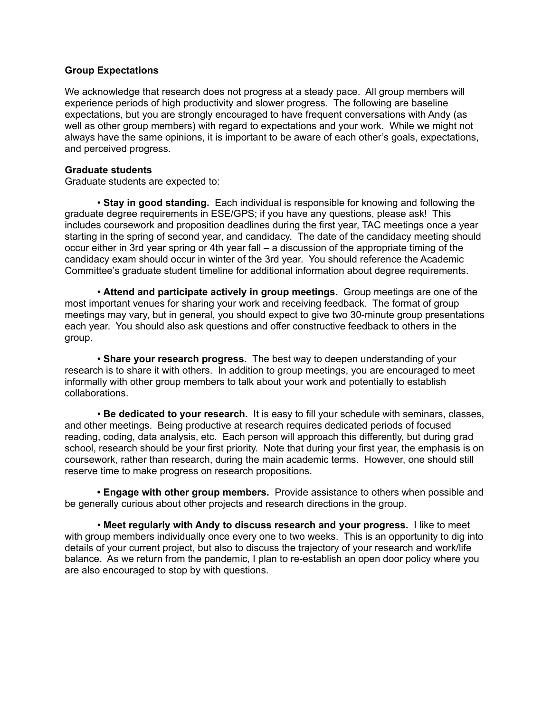### **Group Expectations**

We acknowledge that research does not progress at a steady pace. All group members will experience periods of high productivity and slower progress. The following are baseline expectations, but you are strongly encouraged to have frequent conversations with Andy (as well as other group members) with regard to expectations and your work. While we might not always have the same opinions, it is important to be aware of each other's goals, expectations, and perceived progress.

### **Graduate students**

Graduate students are expected to:

• **Stay in good standing.** Each individual is responsible for knowing and following the graduate degree requirements in ESE/GPS; if you have any questions, please ask! This includes coursework and proposition deadlines during the first year, TAC meetings once a year starting in the spring of second year, and candidacy. The date of the candidacy meeting should occur either in 3rd year spring or 4th year fall – a discussion of the appropriate timing of the candidacy exam should occur in winter of the 3rd year. You should reference the Academic Committee's graduate student timeline for additional information about degree requirements.

• **Attend and participate actively in group meetings.** Group meetings are one of the most important venues for sharing your work and receiving feedback. The format of group meetings may vary, but in general, you should expect to give two 30-minute group presentations each year. You should also ask questions and offer constructive feedback to others in the group.

• **Share your research progress.** The best way to deepen understanding of your research is to share it with others. In addition to group meetings, you are encouraged to meet informally with other group members to talk about your work and potentially to establish collaborations.

• **Be dedicated to your research.** It is easy to fill your schedule with seminars, classes, and other meetings. Being productive at research requires dedicated periods of focused reading, coding, data analysis, etc. Each person will approach this differently, but during grad school, research should be your first priority. Note that during your first year, the emphasis is on coursework, rather than research, during the main academic terms. However, one should still reserve time to make progress on research propositions.

**• Engage with other group members.** Provide assistance to others when possible and be generally curious about other projects and research directions in the group.

• **Meet regularly with Andy to discuss research and your progress.** I like to meet with group members individually once every one to two weeks. This is an opportunity to dig into details of your current project, but also to discuss the trajectory of your research and work/life balance. As we return from the pandemic, I plan to re-establish an open door policy where you are also encouraged to stop by with questions.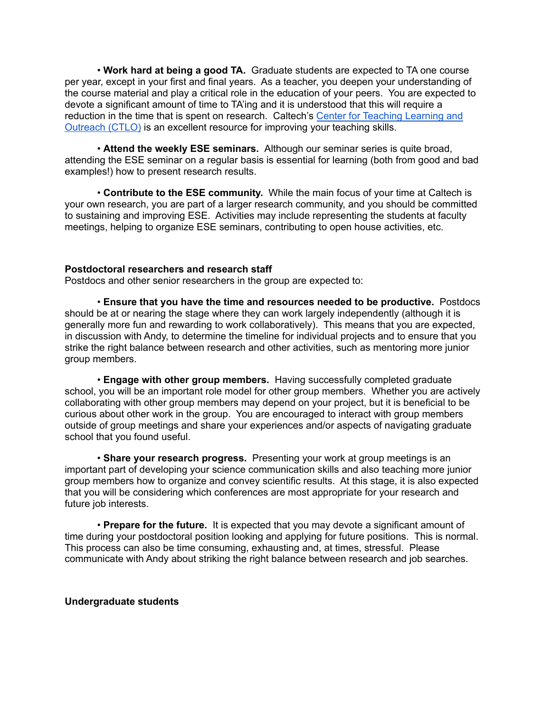• **Work hard at being a good TA.** Graduate students are expected to TA one course per year, except in your first and final years. As a teacher, you deepen your understanding of the course material and play a critical role in the education of your peers. You are expected to devote a significant amount of time to TA'ing and it is understood that this will require a reduction in the time that is spent on research. Caltech's Center for [Teaching](https://ctlo.caltech.edu/) Learning and [Outreach](https://ctlo.caltech.edu/) (CTLO) is an excellent resource for improving your teaching skills.

• **Attend the weekly ESE seminars.** Although our seminar series is quite broad, attending the ESE seminar on a regular basis is essential for learning (both from good and bad examples!) how to present research results.

• **Contribute to the ESE community.** While the main focus of your time at Caltech is your own research, you are part of a larger research community, and you should be committed to sustaining and improving ESE. Activities may include representing the students at faculty meetings, helping to organize ESE seminars, contributing to open house activities, etc.

### **Postdoctoral researchers and research staff**

Postdocs and other senior researchers in the group are expected to:

• **Ensure that you have the time and resources needed to be productive.** Postdocs should be at or nearing the stage where they can work largely independently (although it is generally more fun and rewarding to work collaboratively). This means that you are expected, in discussion with Andy, to determine the timeline for individual projects and to ensure that you strike the right balance between research and other activities, such as mentoring more junior group members.

• **Engage with other group members.** Having successfully completed graduate school, you will be an important role model for other group members. Whether you are actively collaborating with other group members may depend on your project, but it is beneficial to be curious about other work in the group. You are encouraged to interact with group members outside of group meetings and share your experiences and/or aspects of navigating graduate school that you found useful.

• **Share your research progress.** Presenting your work at group meetings is an important part of developing your science communication skills and also teaching more junior group members how to organize and convey scientific results. At this stage, it is also expected that you will be considering which conferences are most appropriate for your research and future job interests.

• **Prepare for the future.** It is expected that you may devote a significant amount of time during your postdoctoral position looking and applying for future positions. This is normal. This process can also be time consuming, exhausting and, at times, stressful. Please communicate with Andy about striking the right balance between research and job searches.

#### **Undergraduate students**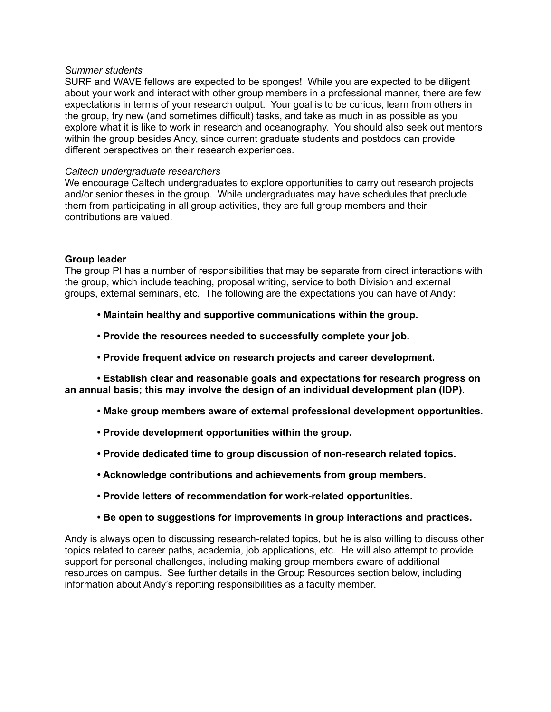#### *Summer students*

SURF and WAVE fellows are expected to be sponges! While you are expected to be diligent about your work and interact with other group members in a professional manner, there are few expectations in terms of your research output. Your goal is to be curious, learn from others in the group, try new (and sometimes difficult) tasks, and take as much in as possible as you explore what it is like to work in research and oceanography. You should also seek out mentors within the group besides Andy, since current graduate students and postdocs can provide different perspectives on their research experiences.

#### *Caltech undergraduate researchers*

We encourage Caltech undergraduates to explore opportunities to carry out research projects and/or senior theses in the group. While undergraduates may have schedules that preclude them from participating in all group activities, they are full group members and their contributions are valued.

### **Group leader**

The group PI has a number of responsibilities that may be separate from direct interactions with the group, which include teaching, proposal writing, service to both Division and external groups, external seminars, etc. The following are the expectations you can have of Andy:

- **• Maintain healthy and supportive communications within the group.**
- **• Provide the resources needed to successfully complete your job.**
- **• Provide frequent advice on research projects and career development.**

**• Establish clear and reasonable goals and expectations for research progress on an annual basis; this may involve the design of an individual development plan (IDP).**

- **• Make group members aware of external professional development opportunities.**
- **• Provide development opportunities within the group.**
- **• Provide dedicated time to group discussion of non-research related topics.**
- **• Acknowledge contributions and achievements from group members.**
- **• Provide letters of recommendation for work-related opportunities.**
- **• Be open to suggestions for improvements in group interactions and practices.**

Andy is always open to discussing research-related topics, but he is also willing to discuss other topics related to career paths, academia, job applications, etc. He will also attempt to provide support for personal challenges, including making group members aware of additional resources on campus. See further details in the Group Resources section below, including information about Andy's reporting responsibilities as a faculty member.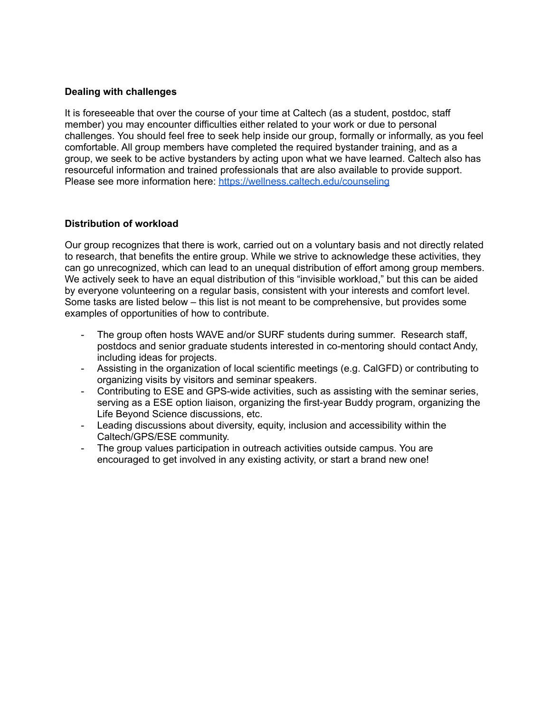# **Dealing with challenges**

It is foreseeable that over the course of your time at Caltech (as a student, postdoc, staff member) you may encounter difficulties either related to your work or due to personal challenges. You should feel free to seek help inside our group, formally or informally, as you feel comfortable. All group members have completed the required bystander training, and as a group, we seek to be active bystanders by acting upon what we have learned. Caltech also has resourceful information and trained professionals that are also available to provide support. Please see more information here: <https://wellness.caltech.edu/counseling>

### **Distribution of workload**

Our group recognizes that there is work, carried out on a voluntary basis and not directly related to research, that benefits the entire group. While we strive to acknowledge these activities, they can go unrecognized, which can lead to an unequal distribution of effort among group members. We actively seek to have an equal distribution of this "invisible workload," but this can be aided by everyone volunteering on a regular basis, consistent with your interests and comfort level. Some tasks are listed below – this list is not meant to be comprehensive, but provides some examples of opportunities of how to contribute.

- The group often hosts WAVE and/or SURF students during summer. Research staff, postdocs and senior graduate students interested in co-mentoring should contact Andy, including ideas for projects.
- Assisting in the organization of local scientific meetings (e.g. CalGFD) or contributing to organizing visits by visitors and seminar speakers.
- Contributing to ESE and GPS-wide activities, such as assisting with the seminar series, serving as a ESE option liaison, organizing the first-year Buddy program, organizing the Life Beyond Science discussions, etc.
- Leading discussions about diversity, equity, inclusion and accessibility within the Caltech/GPS/ESE community.
- The group values participation in outreach activities outside campus. You are encouraged to get involved in any existing activity, or start a brand new one!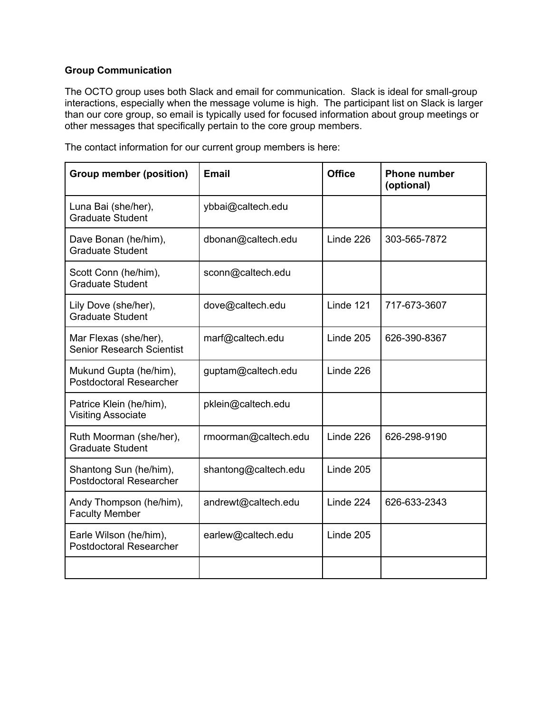# **Group Communication**

The OCTO group uses both Slack and email for communication. Slack is ideal for small-group interactions, especially when the message volume is high. The participant list on Slack is larger than our core group, so email is typically used for focused information about group meetings or other messages that specifically pertain to the core group members.

The contact information for our current group members is here:

| <b>Group member (position)</b>                            | <b>Email</b>         | <b>Office</b> | <b>Phone number</b><br>(optional) |
|-----------------------------------------------------------|----------------------|---------------|-----------------------------------|
| Luna Bai (she/her),<br><b>Graduate Student</b>            | ybbai@caltech.edu    |               |                                   |
| Dave Bonan (he/him),<br><b>Graduate Student</b>           | dbonan@caltech.edu   | Linde 226     | 303-565-7872                      |
| Scott Conn (he/him),<br><b>Graduate Student</b>           | sconn@caltech.edu    |               |                                   |
| Lily Dove (she/her),<br><b>Graduate Student</b>           | dove@caltech.edu     | Linde 121     | 717-673-3607                      |
| Mar Flexas (she/her),<br><b>Senior Research Scientist</b> | marf@caltech.edu     | Linde 205     | 626-390-8367                      |
| Mukund Gupta (he/him),<br><b>Postdoctoral Researcher</b>  | guptam@caltech.edu   | Linde 226     |                                   |
| Patrice Klein (he/him),<br><b>Visiting Associate</b>      | pklein@caltech.edu   |               |                                   |
| Ruth Moorman (she/her),<br><b>Graduate Student</b>        | rmoorman@caltech.edu | Linde 226     | 626-298-9190                      |
| Shantong Sun (he/him),<br><b>Postdoctoral Researcher</b>  | shantong@caltech.edu | Linde 205     |                                   |
| Andy Thompson (he/him),<br><b>Faculty Member</b>          | andrewt@caltech.edu  | Linde 224     | 626-633-2343                      |
| Earle Wilson (he/him),<br><b>Postdoctoral Researcher</b>  | earlew@caltech.edu   | Linde 205     |                                   |
|                                                           |                      |               |                                   |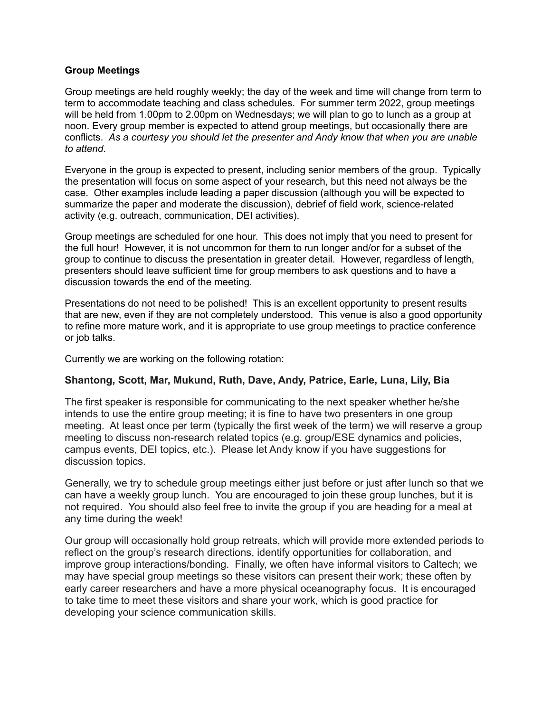### **Group Meetings**

Group meetings are held roughly weekly; the day of the week and time will change from term to term to accommodate teaching and class schedules. For summer term 2022, group meetings will be held from 1.00pm to 2.00pm on Wednesdays; we will plan to go to lunch as a group at noon. Every group member is expected to attend group meetings, but occasionally there are conflicts. *As a courtesy you should let the presenter and Andy know that when you are unable to attend*.

Everyone in the group is expected to present, including senior members of the group. Typically the presentation will focus on some aspect of your research, but this need not always be the case. Other examples include leading a paper discussion (although you will be expected to summarize the paper and moderate the discussion), debrief of field work, science-related activity (e.g. outreach, communication, DEI activities).

Group meetings are scheduled for one hour. This does not imply that you need to present for the full hour! However, it is not uncommon for them to run longer and/or for a subset of the group to continue to discuss the presentation in greater detail. However, regardless of length, presenters should leave sufficient time for group members to ask questions and to have a discussion towards the end of the meeting.

Presentations do not need to be polished! This is an excellent opportunity to present results that are new, even if they are not completely understood. This venue is also a good opportunity to refine more mature work, and it is appropriate to use group meetings to practice conference or job talks.

Currently we are working on the following rotation:

# **Shantong, Scott, Mar, Mukund, Ruth, Dave, Andy, Patrice, Earle, Luna, Lily, Bia**

The first speaker is responsible for communicating to the next speaker whether he/she intends to use the entire group meeting; it is fine to have two presenters in one group meeting. At least once per term (typically the first week of the term) we will reserve a group meeting to discuss non-research related topics (e.g. group/ESE dynamics and policies, campus events, DEI topics, etc.). Please let Andy know if you have suggestions for discussion topics.

Generally, we try to schedule group meetings either just before or just after lunch so that we can have a weekly group lunch. You are encouraged to join these group lunches, but it is not required. You should also feel free to invite the group if you are heading for a meal at any time during the week!

Our group will occasionally hold group retreats, which will provide more extended periods to reflect on the group's research directions, identify opportunities for collaboration, and improve group interactions/bonding. Finally, we often have informal visitors to Caltech; we may have special group meetings so these visitors can present their work; these often by early career researchers and have a more physical oceanography focus. It is encouraged to take time to meet these visitors and share your work, which is good practice for developing your science communication skills.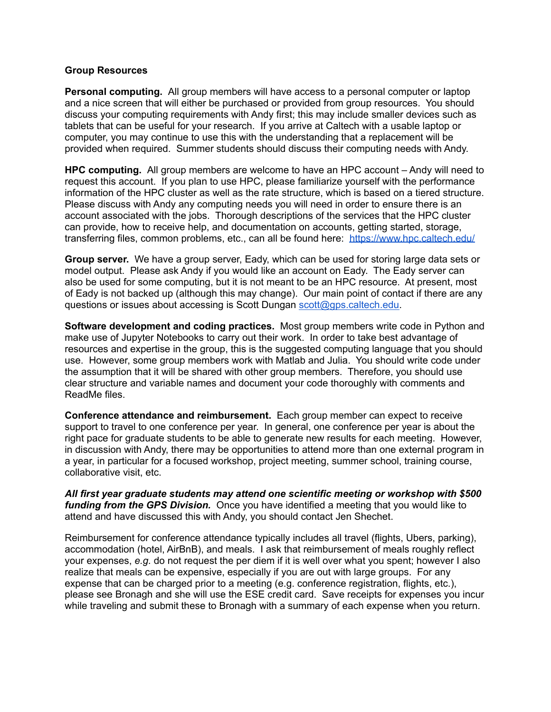### **Group Resources**

**Personal computing.** All group members will have access to a personal computer or laptop and a nice screen that will either be purchased or provided from group resources. You should discuss your computing requirements with Andy first; this may include smaller devices such as tablets that can be useful for your research. If you arrive at Caltech with a usable laptop or computer, you may continue to use this with the understanding that a replacement will be provided when required. Summer students should discuss their computing needs with Andy.

**HPC computing.** All group members are welcome to have an HPC account – Andy will need to request this account. If you plan to use HPC, please familiarize yourself with the performance information of the HPC cluster as well as the rate structure, which is based on a tiered structure. Please discuss with Andy any computing needs you will need in order to ensure there is an account associated with the jobs. Thorough descriptions of the services that the HPC cluster can provide, how to receive help, and documentation on accounts, getting started, storage, transferring files, common problems, etc., can all be found here: <https://www.hpc.caltech.edu/>

**Group server.** We have a group server, Eady, which can be used for storing large data sets or model output. Please ask Andy if you would like an account on Eady. The Eady server can also be used for some computing, but it is not meant to be an HPC resource. At present, most of Eady is not backed up (although this may change). Our main point of contact if there are any questions or issues about accessing is Scott Dungan [scott@gps.caltech.edu.](mailto:scott@gps.caltech.edu)

**Software development and coding practices.** Most group members write code in Python and make use of Jupyter Notebooks to carry out their work. In order to take best advantage of resources and expertise in the group, this is the suggested computing language that you should use. However, some group members work with Matlab and Julia. You should write code under the assumption that it will be shared with other group members. Therefore, you should use clear structure and variable names and document your code thoroughly with comments and ReadMe files.

**Conference attendance and reimbursement.** Each group member can expect to receive support to travel to one conference per year. In general, one conference per year is about the right pace for graduate students to be able to generate new results for each meeting. However, in discussion with Andy, there may be opportunities to attend more than one external program in a year, in particular for a focused workshop, project meeting, summer school, training course, collaborative visit, etc.

*All first year graduate students may attend one scientific meeting or workshop with \$500 funding from the GPS Division.* Once you have identified a meeting that you would like to attend and have discussed this with Andy, you should contact Jen Shechet.

Reimbursement for conference attendance typically includes all travel (flights, Ubers, parking), accommodation (hotel, AirBnB), and meals. I ask that reimbursement of meals roughly reflect your expenses, *e.g.* do not request the per diem if it is well over what you spent; however I also realize that meals can be expensive, especially if you are out with large groups. For any expense that can be charged prior to a meeting (e.g. conference registration, flights, etc.), please see Bronagh and she will use the ESE credit card. Save receipts for expenses you incur while traveling and submit these to Bronagh with a summary of each expense when you return.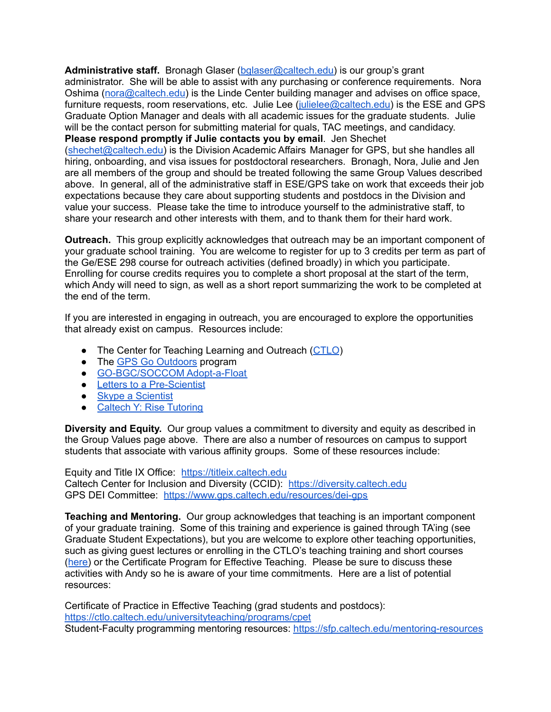**Administrative staff.** Bronagh Glaser [\(bglaser@caltech.edu\)](mailto:bglaser@caltech.edu) is our group's grant administrator. She will be able to assist with any purchasing or conference requirements. Nora Oshima ([nora@caltech.edu\)](mailto:nora@caltech.edu) is the Linde Center building manager and advises on office space, furniture requests, room reservations, etc. Julie Lee [\(julielee@caltech.edu\)](mailto:julielee@caltech.edu) is the ESE and GPS Graduate Option Manager and deals with all academic issues for the graduate students. Julie will be the contact person for submitting material for quals, TAC meetings, and candidacy. **Please respond promptly if Julie contacts you by email**. Jen Shechet ([shechet@caltech.edu\)](mailto:shechet@caltech.edu) is the Division Academic Affairs Manager for GPS, but she handles all hiring, onboarding, and visa issues for postdoctoral researchers. Bronagh, Nora, Julie and Jen are all members of the group and should be treated following the same Group Values described above. In general, all of the administrative staff in ESE/GPS take on work that exceeds their job expectations because they care about supporting students and postdocs in the Division and value your success. Please take the time to introduce yourself to the administrative staff, to share your research and other interests with them, and to thank them for their hard work.

**Outreach.** This group explicitly acknowledges that outreach may be an important component of your graduate school training. You are welcome to register for up to 3 credits per term as part of the Ge/ESE 298 course for outreach activities (defined broadly) in which you participate. Enrolling for course credits requires you to complete a short proposal at the start of the term, which Andy will need to sign, as well as a short report summarizing the work to be completed at the end of the term.

If you are interested in engaging in outreach, you are encouraged to explore the opportunities that already exist on campus. Resources include:

- The Center for Teaching Learning and Outreach ([CTLO](https://ctlo.caltech.edu/outreach))
- The GPS Go [Outdoors](https://go-outdoors.caltech.edu/) program
- [GO-BGC/SOCCOM](https://www.go-bgc.org/outreach) Adopt-a-Float
- **Letters to a [Pre-Scientist](https://prescientist.org/)**
- Skype a [Scientist](https://www.skypeascientist.com/)
- Caltech Y: Rise [Tutoring](https://www.caltechy.org/rise-tutor)

**Diversity and Equity.** Our group values a commitment to diversity and equity as described in the Group Values page above. There are also a number of resources on campus to support students that associate with various affinity groups. Some of these resources include:

Equity and Title IX Office: <https://titleix.caltech.edu> Caltech Center for Inclusion and Diversity (CCID): <https://diversity.caltech.edu> GPS DEI Committee: <https://www.gps.caltech.edu/resources/dei-gps>

**Teaching and Mentoring.** Our group acknowledges that teaching is an important component of your graduate training. Some of this training and experience is gained through TA'ing (see Graduate Student Expectations), but you are welcome to explore other teaching opportunities, such as giving guest lectures or enrolling in the CTLO's teaching training and short courses ([here\)](https://ctlo.caltech.edu/universityteaching/programs/) or the Certificate Program for Effective Teaching. Please be sure to discuss these activities with Andy so he is aware of your time commitments. Here are a list of potential resources:

Certificate of Practice in Effective Teaching (grad students and postdocs): <https://ctlo.caltech.edu/universityteaching/programs/cpet> Student-Faculty programming mentoring resources: <https://sfp.caltech.edu/mentoring-resources>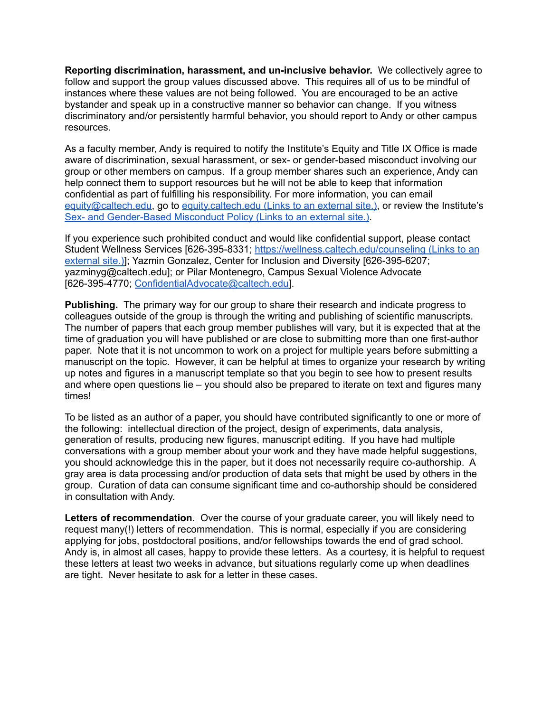**Reporting discrimination, harassment, and un-inclusive behavior.** We collectively agree to follow and support the group values discussed above. This requires all of us to be mindful of instances where these values are not being followed. You are encouraged to be an active bystander and speak up in a constructive manner so behavior can change. If you witness discriminatory and/or persistently harmful behavior, you should report to Andy or other campus resources.

As a faculty member, Andy is required to notify the Institute's Equity and Title IX Office is made aware of discrimination, sexual harassment, or sex- or gender-based misconduct involving our group or other members on campus. If a group member shares such an experience, Andy can help connect them to support resources but he will not be able to keep that information confidential as part of fulfilling his responsibility. For more information, you can email [equity@caltech.edu,](mailto:equity@caltech.edu) go to [equity.caltech.edu](http://equity.caltech.edu/) (Link[s](https://hr.caltech.edu/documents/2925/caltech_institute_policy-sex_and_gender_based_misconduct.pdf) to an external site.), or review the Institute's Sex- and [Gender-Based](https://hr.caltech.edu/documents/2925/caltech_institute_policy-sex_and_gender_based_misconduct.pdf) Misconduct Policy (Links to an external site.).

If you experience such prohibited conduct and would like confidential support, please contact Student Wellness Services [626-395-8331; <https://wellness.caltech.edu/counseling> (Links to an [external](https://wellness.caltech.edu/counseling) site.)]; Yazmin Gonzalez, Center for Inclusion and Diversity [626-395-6207; yazminyg@caltech.edu]; or Pilar Montenegro, Campus Sexual Violence Advocate [626-395-4770; [ConfidentialAdvocate@caltech.edu\]](mailto:ConfidentialAdvocate@caltech.edu).

**Publishing.** The primary way for our group to share their research and indicate progress to colleagues outside of the group is through the writing and publishing of scientific manuscripts. The number of papers that each group member publishes will vary, but it is expected that at the time of graduation you will have published or are close to submitting more than one first-author paper. Note that it is not uncommon to work on a project for multiple years before submitting a manuscript on the topic. However, it can be helpful at times to organize your research by writing up notes and figures in a manuscript template so that you begin to see how to present results and where open questions lie – you should also be prepared to iterate on text and figures many times!

To be listed as an author of a paper, you should have contributed significantly to one or more of the following: intellectual direction of the project, design of experiments, data analysis, generation of results, producing new figures, manuscript editing. If you have had multiple conversations with a group member about your work and they have made helpful suggestions, you should acknowledge this in the paper, but it does not necessarily require co-authorship. A gray area is data processing and/or production of data sets that might be used by others in the group. Curation of data can consume significant time and co-authorship should be considered in consultation with Andy.

**Letters of recommendation.** Over the course of your graduate career, you will likely need to request many(!) letters of recommendation. This is normal, especially if you are considering applying for jobs, postdoctoral positions, and/or fellowships towards the end of grad school. Andy is, in almost all cases, happy to provide these letters. As a courtesy, it is helpful to request these letters at least two weeks in advance, but situations regularly come up when deadlines are tight. Never hesitate to ask for a letter in these cases.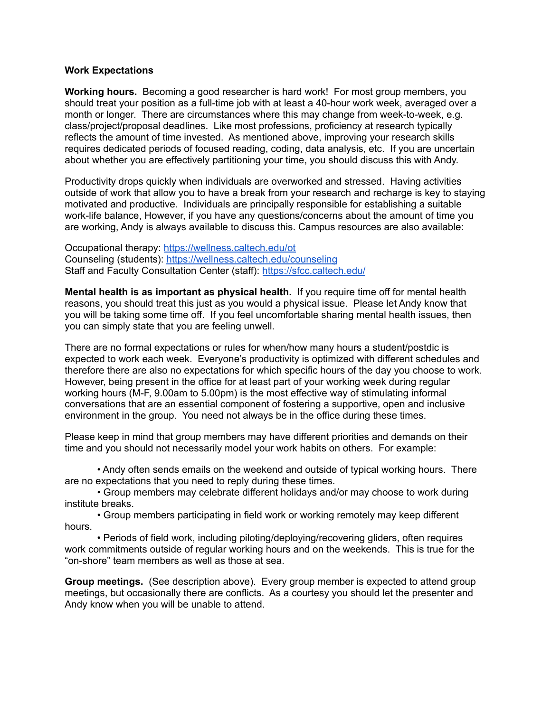### **Work Expectations**

**Working hours.** Becoming a good researcher is hard work! For most group members, you should treat your position as a full-time job with at least a 40-hour work week, averaged over a month or longer. There are circumstances where this may change from week-to-week, e.g. class/project/proposal deadlines. Like most professions, proficiency at research typically reflects the amount of time invested. As mentioned above, improving your research skills requires dedicated periods of focused reading, coding, data analysis, etc. If you are uncertain about whether you are effectively partitioning your time, you should discuss this with Andy.

Productivity drops quickly when individuals are overworked and stressed. Having activities outside of work that allow you to have a break from your research and recharge is key to staying motivated and productive. Individuals are principally responsible for establishing a suitable work-life balance, However, if you have any questions/concerns about the amount of time you are working, Andy is always available to discuss this. Campus resources are also available:

Occupational therapy: <https://wellness.caltech.edu/ot> Counseling (students): <https://wellness.caltech.edu/counseling> Staff and Faculty Consultation Center (staff): <https://sfcc.caltech.edu/>

**Mental health is as important as physical health.** If you require time off for mental health reasons, you should treat this just as you would a physical issue. Please let Andy know that you will be taking some time off. If you feel uncomfortable sharing mental health issues, then you can simply state that you are feeling unwell.

There are no formal expectations or rules for when/how many hours a student/postdic is expected to work each week. Everyone's productivity is optimized with different schedules and therefore there are also no expectations for which specific hours of the day you choose to work. However, being present in the office for at least part of your working week during regular working hours (M-F, 9.00am to 5.00pm) is the most effective way of stimulating informal conversations that are an essential component of fostering a supportive, open and inclusive environment in the group. You need not always be in the office during these times.

Please keep in mind that group members may have different priorities and demands on their time and you should not necessarily model your work habits on others. For example:

• Andy often sends emails on the weekend and outside of typical working hours. There are no expectations that you need to reply during these times.

• Group members may celebrate different holidays and/or may choose to work during institute breaks.

• Group members participating in field work or working remotely may keep different hours.

• Periods of field work, including piloting/deploying/recovering gliders, often requires work commitments outside of regular working hours and on the weekends. This is true for the "on-shore" team members as well as those at sea.

**Group meetings.** (See description above). Every group member is expected to attend group meetings, but occasionally there are conflicts. As a courtesy you should let the presenter and Andy know when you will be unable to attend.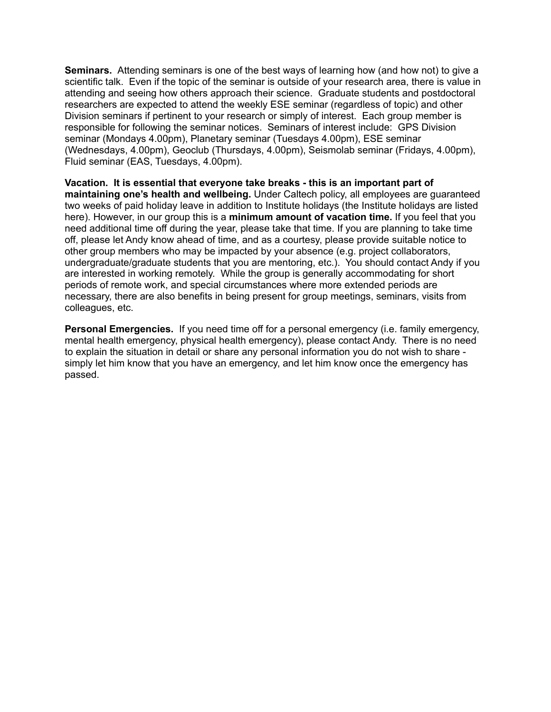**Seminars.** Attending seminars is one of the best ways of learning how (and how not) to give a scientific talk. Even if the topic of the seminar is outside of your research area, there is value in attending and seeing how others approach their science. Graduate students and postdoctoral researchers are expected to attend the weekly ESE seminar (regardless of topic) and other Division seminars if pertinent to your research or simply of interest. Each group member is responsible for following the seminar notices. Seminars of interest include: GPS Division seminar (Mondays 4.00pm), Planetary seminar (Tuesdays 4.00pm), ESE seminar (Wednesdays, 4.00pm), Geoclub (Thursdays, 4.00pm), Seismolab seminar (Fridays, 4.00pm), Fluid seminar (EAS, Tuesdays, 4.00pm).

**Vacation. It is essential that everyone take breaks - this is an important part of maintaining one's health and wellbeing.** Under Caltech policy, all employees are guaranteed two weeks of paid holiday leave in addition to Institute holidays (the Institute holidays are listed here). However, in our group this is a **minimum amount of vacation time.** If you feel that you need additional time off during the year, please take that time. If you are planning to take time off, please let Andy know ahead of time, and as a courtesy, please provide suitable notice to other group members who may be impacted by your absence (e.g. project collaborators, undergraduate/graduate students that you are mentoring, etc.). You should contact Andy if you are interested in working remotely. While the group is generally accommodating for short periods of remote work, and special circumstances where more extended periods are necessary, there are also benefits in being present for group meetings, seminars, visits from colleagues, etc.

**Personal Emergencies.** If you need time off for a personal emergency (i.e. family emergency, mental health emergency, physical health emergency), please contact Andy. There is no need to explain the situation in detail or share any personal information you do not wish to share simply let him know that you have an emergency, and let him know once the emergency has passed.